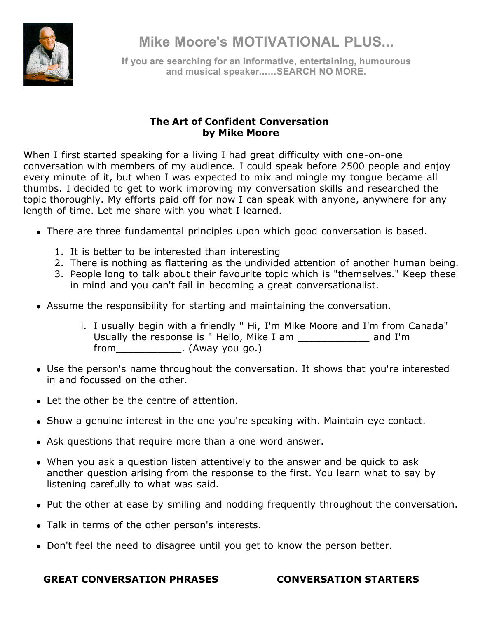

**Mike Moore's MOTIVATIONAL PLUS...**

**If you are searching for an informative, entertaining, humourous and musical speaker......SEARCH NO MORE.**

## **The Art of Confident Conversation by Mike Moore**

When I first started speaking for a living I had great difficulty with one-on-one conversation with members of my audience. I could speak before 2500 people and enjoy every minute of it, but when I was expected to mix and mingle my tongue became all thumbs. I decided to get to work improving my conversation skills and researched the topic thoroughly. My efforts paid off for now I can speak with anyone, anywhere for any length of time. Let me share with you what I learned.

- There are three fundamental principles upon which good conversation is based.
	- 1. It is better to be interested than interesting
	- 2. There is nothing as flattering as the undivided attention of another human being.
	- 3. People long to talk about their favourite topic which is "themselves." Keep these in mind and you can't fail in becoming a great conversationalist.
- Assume the responsibility for starting and maintaining the conversation.
	- i. I usually begin with a friendly " Hi, I'm Mike Moore and I'm from Canada" Usually the response is " Hello, Mike I am \_\_\_\_\_\_\_\_\_\_\_\_ and I'm from (Away you go.)
- Use the person's name throughout the conversation. It shows that you're interested in and focussed on the other.
- Let the other be the centre of attention.
- Show a genuine interest in the one you're speaking with. Maintain eye contact.
- Ask questions that require more than a one word answer.
- When you ask a question listen attentively to the answer and be quick to ask another question arising from the response to the first. You learn what to say by listening carefully to what was said.
- Put the other at ease by smiling and nodding frequently throughout the conversation.
- Talk in terms of the other person's interests.
- Don't feel the need to disagree until you get to know the person better.

### **GREAT CONVERSATION PHRASES CONVERSATION STARTERS**